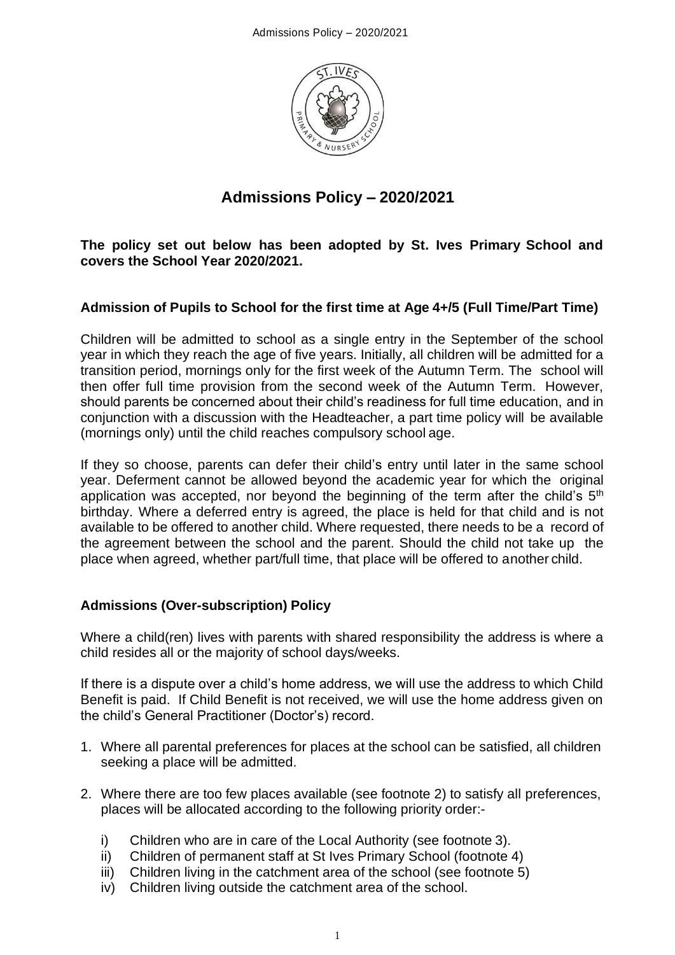

# **Admissions Policy – 2020/2021**

**The policy set out below has been adopted by St. Ives Primary School and covers the School Year 2020/2021.**

# **Admission of Pupils to School for the first time at Age 4+/5 (Full Time/Part Time)**

Children will be admitted to school as a single entry in the September of the school year in which they reach the age of five years. Initially, all children will be admitted for a transition period, mornings only for the first week of the Autumn Term. The school will then offer full time provision from the second week of the Autumn Term. However, should parents be concerned about their child's readiness for full time education, and in conjunction with a discussion with the Headteacher, a part time policy will be available (mornings only) until the child reaches compulsory school age.

If they so choose, parents can defer their child's entry until later in the same school year. Deferment cannot be allowed beyond the academic year for which the original application was accepted, nor beyond the beginning of the term after the child's 5<sup>th</sup> birthday. Where a deferred entry is agreed, the place is held for that child and is not available to be offered to another child. Where requested, there needs to be a record of the agreement between the school and the parent. Should the child not take up the place when agreed, whether part/full time, that place will be offered to another child.

### **Admissions (Over-subscription) Policy**

Where a child(ren) lives with parents with shared responsibility the address is where a child resides all or the majority of school days/weeks.

If there is a dispute over a child's home address, we will use the address to which Child Benefit is paid. If Child Benefit is not received, we will use the home address given on the child's General Practitioner (Doctor's) record.

- 1. Where all parental preferences for places at the school can be satisfied, all children seeking a place will be admitted.
- 2. Where there are too few places available (see footnote 2) to satisfy all preferences, places will be allocated according to the following priority order:
	- i) Children who are in care of the Local Authority (see footnote 3).
	- ii) Children of permanent staff at St Ives Primary School (footnote 4)
	- iii) Children living in the catchment area of the school (see footnote 5)
	- iv) Children living outside the catchment area of the school.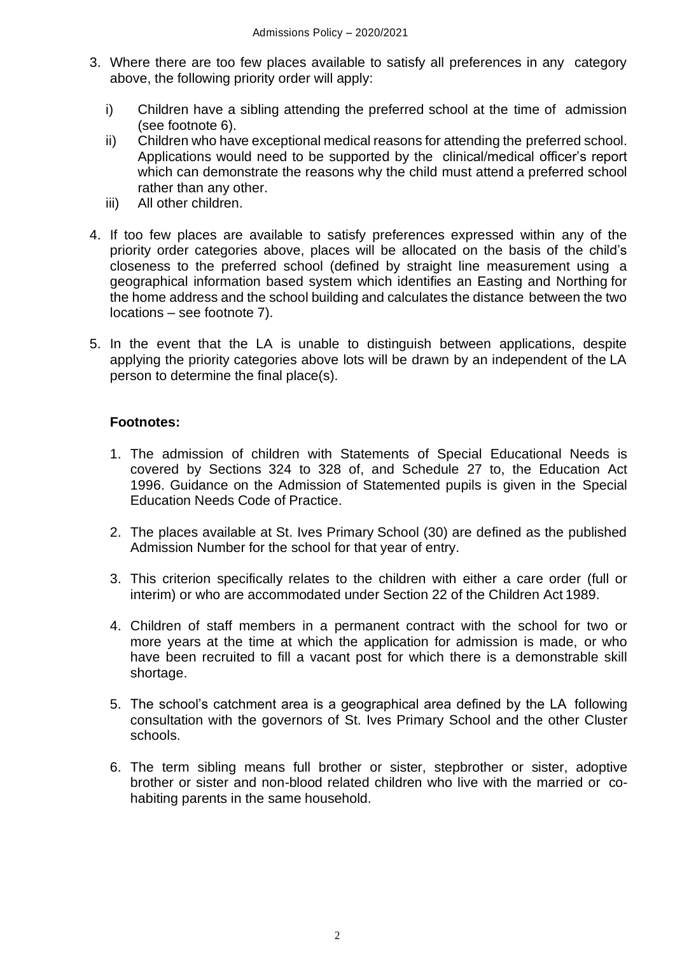- 3. Where there are too few places available to satisfy all preferences in any category above, the following priority order will apply:
	- i) Children have a sibling attending the preferred school at the time of admission (see footnote 6).
	- ii) Children who have exceptional medical reasons for attending the preferred school. Applications would need to be supported by the clinical/medical officer's report which can demonstrate the reasons why the child must attend a preferred school rather than any other.
	- iii) All other children.
- 4. If too few places are available to satisfy preferences expressed within any of the priority order categories above, places will be allocated on the basis of the child's closeness to the preferred school (defined by straight line measurement using a geographical information based system which identifies an Easting and Northing for the home address and the school building and calculates the distance between the two locations – see footnote 7).
- 5. In the event that the LA is unable to distinguish between applications, despite applying the priority categories above lots will be drawn by an independent of the LA person to determine the final place(s).

#### **Footnotes:**

- 1. The admission of children with Statements of Special Educational Needs is covered by Sections 324 to 328 of, and Schedule 27 to, the Education Act 1996. Guidance on the Admission of Statemented pupils is given in the Special Education Needs Code of Practice.
- 2. The places available at St. Ives Primary School (30) are defined as the published Admission Number for the school for that year of entry.
- 3. This criterion specifically relates to the children with either a care order (full or interim) or who are accommodated under Section 22 of the Children Act 1989.
- 4. Children of staff members in a permanent contract with the school for two or more years at the time at which the application for admission is made, or who have been recruited to fill a vacant post for which there is a demonstrable skill shortage.
- 5. The school's catchment area is a geographical area defined by the LA following consultation with the governors of St. Ives Primary School and the other Cluster schools.
- 6. The term sibling means full brother or sister, stepbrother or sister, adoptive brother or sister and non-blood related children who live with the married or cohabiting parents in the same household.